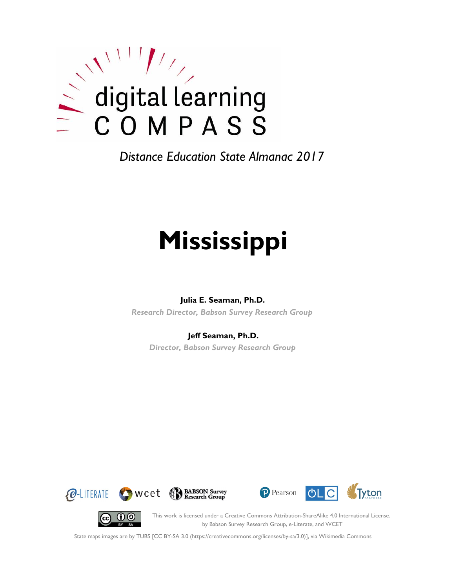

*Distance Education State Almanac 2017*

# **Mississippi**

### **Julia E. Seaman, Ph.D.**

*Research Director, Babson Survey Research Group*

### **Jeff Seaman, Ph.D.**

*Director, Babson Survey Research Group*









This work is licensed under a Creative Commons Attribution-ShareAlike 4.0 International License. by Babson Survey Research Group, e-Literate, and WCET

State maps images are by TUBS [CC BY-SA 3.0 (https://creativecommons.org/licenses/by-sa/3.0)], via Wikimedia Commons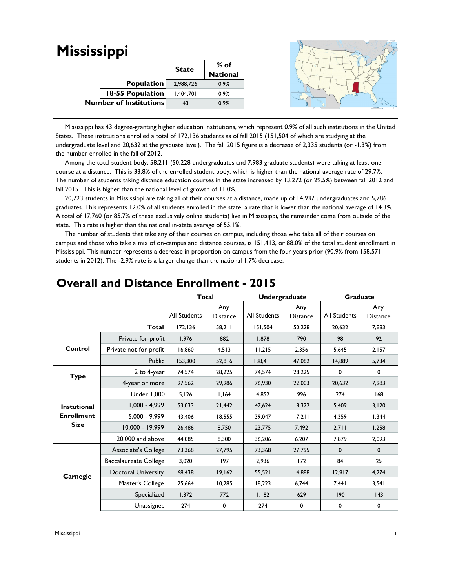| <b>Mississippi</b>            |              |                  |  |
|-------------------------------|--------------|------------------|--|
|                               | <b>State</b> | % of<br>National |  |
|                               |              |                  |  |
| Population                    | 2,988,726    | 0.9%             |  |
| 18-55 Population              | 1,404,701    | 0.9%             |  |
| <b>Number of Institutions</b> | 43           | 0.9%             |  |
|                               |              |                  |  |

 Mississippi has 43 degree-granting higher education institutions, which represent 0.9% of all such institutions in the United States. These institutions enrolled a total of 172,136 students as of fall 2015 (151,504 of which are studying at the undergraduate level and 20,632 at the graduate level). The fall 2015 figure is a decrease of 2,335 students (or -1.3%) from the number enrolled in the fall of 2012.

 Among the total student body, 58,211 (50,228 undergraduates and 7,983 graduate students) were taking at least one course at a distance. This is 33.8% of the enrolled student body, which is higher than the national average rate of 29.7%. The number of students taking distance education courses in the state increased by 13,272 (or 29.5%) between fall 2012 and fall 2015. This is higher than the national level of growth of 11.0%.

 20,723 students in Mississippi are taking all of their courses at a distance, made up of 14,937 undergraduates and 5,786 graduates. This represents 12.0% of all students enrolled in the state, a rate that is lower than the national average of 14.3%. A total of 17,760 (or 85.7% of these exclusively online students) live in Mississippi, the remainder come from outside of the state. This rate is higher than the national in-state average of 55.1%.

 The number of students that take any of their courses on campus, including those who take all of their courses on campus and those who take a mix of on-campus and distance courses, is 151,413, or 88.0% of the total student enrollment in Mississippi. This number represents a decrease in proportion on campus from the four years prior (90.9% from 158,571 students in 2012). The -2.9% rate is a larger change than the national 1.7% decrease.

|                                  |                            | <b>Total</b>        |                        | <b>Undergraduate</b> |                        | <b>Graduate</b>     |                        |
|----------------------------------|----------------------------|---------------------|------------------------|----------------------|------------------------|---------------------|------------------------|
|                                  |                            | <b>All Students</b> | Any<br><b>Distance</b> | <b>All Students</b>  | Any<br><b>Distance</b> | <b>All Students</b> | Any<br><b>Distance</b> |
|                                  | Total                      | 172, 136            | 58,211                 | 151,504              | 50,228                 | 20,632              | 7,983                  |
|                                  | Private for-profit         | 1,976               | 882                    | 1,878                | 790                    | 98                  | 92                     |
| Control                          | Private not-for-profit     | 16,860              | 4,513                  | 11,215               | 2,356                  | 5,645               | 2,157                  |
|                                  | <b>Public</b>              | 153,300             | 52,816                 | 138,411              | 47,082                 | 14,889              | 5,734                  |
| <b>Type</b>                      | 2 to 4-year                | 74,574              | 28,225                 | 74.574               | 28,225                 | 0                   | 0                      |
|                                  | 4-year or more             | 97,562              | 29,986                 | 76,930               | 22,003                 | 20,632              | 7,983                  |
|                                  | Under 1,000                | 5,126               | 1,164                  | 4,852                | 996                    | 274                 | 168                    |
| <b>Instutional</b>               | $1,000 - 4,999$            | 53,033              | 21,442                 | 47,624               | 18,322                 | 5,409               | 3,120                  |
| <b>Enrollment</b><br><b>Size</b> | 5,000 - 9,999              | 43,406              | 18,555                 | 39.047               | 17,211                 | 4,359               | 1,344                  |
|                                  | 10,000 - 19,999            | 26,486              | 8,750                  | 23,775               | 7.492                  | 2.711               | 1,258                  |
|                                  | 20,000 and above           | 44,085              | 8,300                  | 36,206               | 6,207                  | 7,879               | 2,093                  |
|                                  | Associate's College        | 73,368              | 27,795                 | 73,368               | 27,795                 | $\mathbf 0$         | $\mathbf 0$            |
|                                  | Baccalaureate College      | 3,020               | 197                    | 2,936                | 172                    | 84                  | 25                     |
| Carnegie                         | <b>Doctoral University</b> | 68,438              | 19,162                 | 55,521               | 14,888                 | 12,917              | 4,274                  |
|                                  | Master's College           | 25,664              | 10,285                 | 18,223               | 6,744                  | 7,441               | 3,541                  |
|                                  | Specialized                | 1,372               | 772                    | 1,182                | 629                    | 190                 | 143                    |
|                                  | Unassigned                 | 274                 | $\mathbf 0$            | 274                  | $\mathbf 0$            | 0                   | 0                      |

## **Overall and Distance Enrollment - 2015**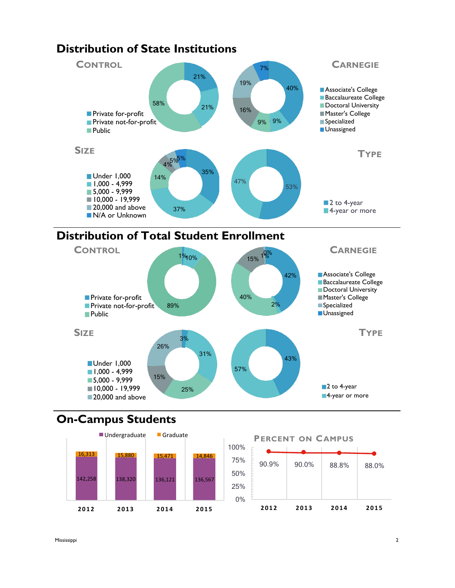

## **Distribution of State Institutions**





# **On-Campus Students**



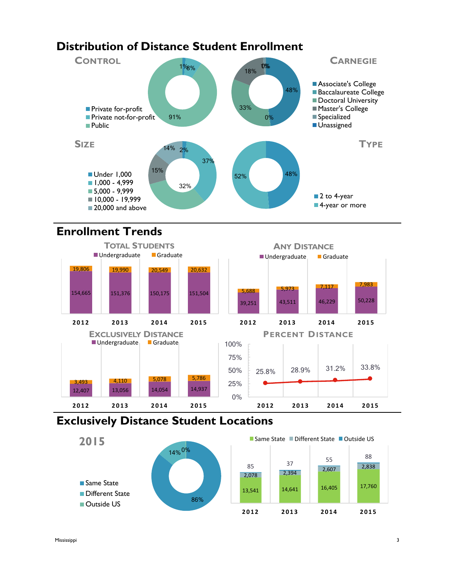# **Distribution of Distance Student Enrollment**



# **Enrollment Trends**



## **Exclusively Distance Student Locations**